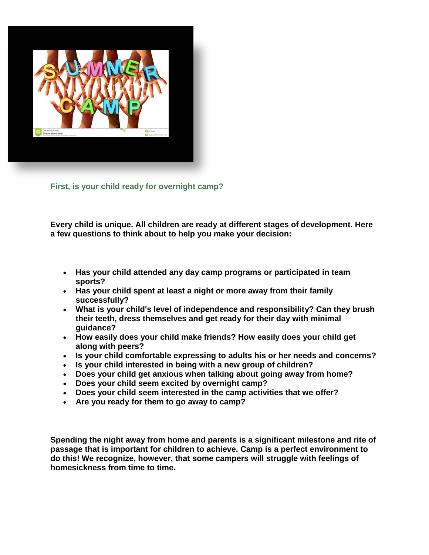

**First, is your child ready for overnight camp?**

**Every child is unique. All children are ready at different stages of development. Here a few questions to think about to help you make your decision:**

## **Has your child attended any day camp programs or participated in team sports?**

- **Has your child spent at least a night or more away from their family successfully?**
- **What is your child's level of independence and responsibility? Can they brush their teeth, dress themselves and get ready for their day with minimal guidance?**
- **How easily does your child make friends? How easily does your child get along with peers?**
- **Is your child comfortable expressing to adults his or her needs and concerns?**
- **Is your child interested in being with a new group of children?**
- **Does your child get anxious when talking about going away from home?**
- **Does your child seem excited by overnight camp?**
- **Does your child seem interested in the camp activities that we offer?**
- **Are you ready for them to go away to camp?**

**Spending the night away from home and parents is a significant milestone and rite of passage that is important for children to achieve. Camp is a perfect environment to do this! We recognize, however, that some campers will struggle with feelings of homesickness from time to time.**